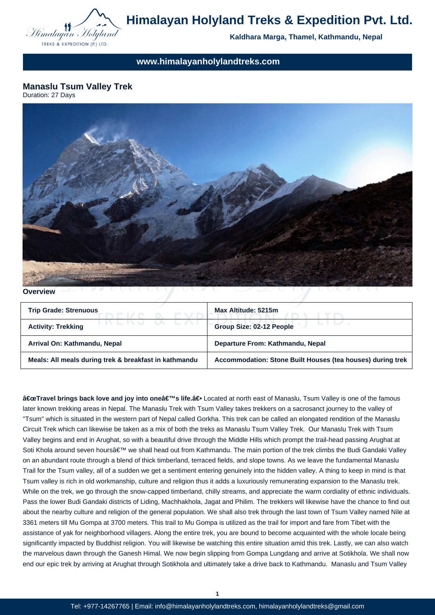

# **Himalayan Holyland Treks & Expedition Pvt. Ltd.**

**Kaldhara Marga, Thamel, Kathmandu, Nepal**

**www.himalayanholylandtreks.com**

**Manaslu Tsum Valley Trek** Duration: 27 Days



**Overview**

| <b>Trip Grade: Strenuous</b>                          | Max Altitude: 5215m                                        |
|-------------------------------------------------------|------------------------------------------------------------|
| <b>Activity: Trekking</b>                             | Group Size: 02-12 People                                   |
| Arrival On: Kathmandu, Nepal                          | Departure From: Kathmandu, Nepal                           |
| Meals: All meals during trek & breakfast in kathmandu | Accommodation: Stone Built Houses (tea houses) during trek |

"Travel brings back love and joy into one's life.â€Located at north east of Manaslu, Tsum Valley is one of the famous later known trekking areas in Nepal. The Manaslu Trek with Tsum Valley takes trekkers on a sacrosanct journey to the valley of "Tsum" which is situated in the western part of Nepal called Gorkha. This trek can be called an elongated rendition of the Manaslu Circuit Trek which can likewise be taken as a mix of both the treks as Manaslu Tsum Valley Trek. Our Manaslu Trek with Tsum Valley begins and end in Arughat, so with a beautiful drive through the Middle Hills which prompt the trail-head passing Arughat at Soti Khola around seven hours' we shall head out from Kathmandu. The main portion of the trek climbs the Budi Gandaki Valley on an abundant route through a blend of thick timberland, terraced fields, and slope towns. As we leave the fundamental Manaslu Trail for the Tsum valley, all of a sudden we get a sentiment entering genuinely into the hidden valley. A thing to keep in mind is that Tsum valley is rich in old workmanship, culture and religion thus it adds a luxuriously remunerating expansion to the Manaslu trek. While on the trek, we go through the snow-capped timberland, chilly streams, and appreciate the warm cordiality of ethnic individuals. Pass the lower Budi Gandaki districts of Liding, Machhakhola, Jagat and Philim. The trekkers will likewise have the chance to find out about the nearby culture and religion of the general population. We shall also trek through the last town of Tsum Valley named Nile at 3361 meters till Mu Gompa at 3700 meters. This trail to Mu Gompa is utilized as the trail for import and fare from Tibet with the assistance of yak for neighborhood villagers. Along the entire trek, you are bound to become acquainted with the whole locale being significantly impacted by Buddhist religion. You will likewise be watching this entire situation amid this trek. Lastly, we can also watch the marvelous dawn through the Ganesh Himal. We now begin slipping from Gompa Lungdang and arrive at Sotikhola. We shall now end our epic trek by arriving at Arughat through Sotikhola and ultimately take a drive back to Kathmandu. Manaslu and Tsum Valley

**1**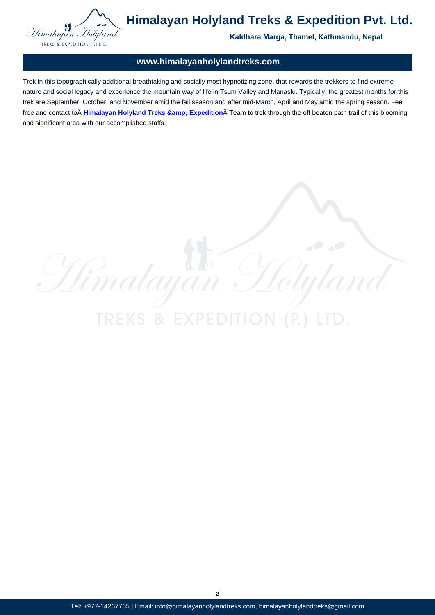# **www.himalayanholylandtreks.com**

Trek in this topographically additional breathtaking and socially most hypnotizing zone, that rewards the trekkers to find extreme nature and social legacy and experience the mountain way of life in Tsum Valley and Manaslu. Typically, the greatest months for this trek are September, October, and November amid the fall season and after mid-March, April and May amid the spring season. Feel free and contact to **Himalayan Holyland Treks & Expedition** Team to trek through the off beaten path trail of this blooming and significant area with our accomplished staffs.

**TREKS & EXPED** 

 $\frac{C}{2}$ 

Himalayan

**2**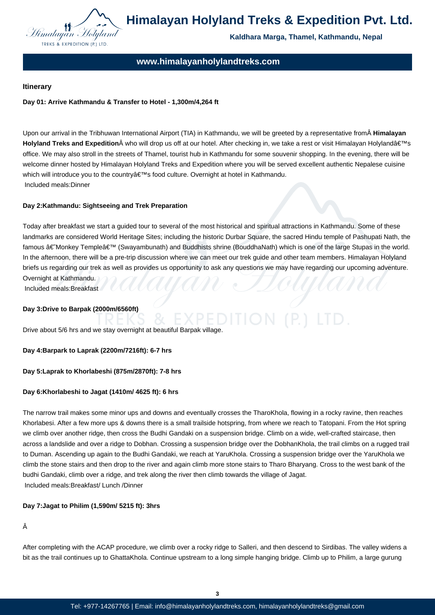

# **www.himalayanholylandtreks.com**

## **Itinerary**

# **Day 01: Arrive Kathmandu & Transfer to Hotel - 1,300m/4,264 ft**

Upon our arrival in the Tribhuwan International Airport (TIA) in Kathmandu, we will be greeted by a representative from **Himalayan Holyland Treks and Expedition** who will drop us off at our hotel. After checking in, we take a rest or visit Himalayan Holyland's office. We may also stroll in the streets of Thamel, tourist hub in Kathmandu for some souvenir shopping. In the evening, there will be welcome dinner hosted by Himalayan Holyland Treks and Expedition where you will be served excellent authentic Nepalese cuisine which will introduce you to the country's food culture. Overnight at hotel in Kathmandu. Included meals:Dinner

## **Day 2:Kathmandu: Sightseeing and Trek Preparation**

Today after breakfast we start a guided tour to several of the most historical and spiritual attractions in Kathmandu. Some of these landmarks are considered World Heritage Sites; including the historic Durbar Square, the sacred Hindu temple of Pashupati Nath, the famous †Monkey Temple' (Swayambunath) and Buddhists shrine (BouddhaNath) which is one of the large Stupas in the world. In the afternoon, there will be a pre-trip discussion where we can meet our trek guide and other team members. Himalayan Holyland briefs us regarding our trek as well as provides us opportunity to ask any questions we may have regarding our upcoming adventure. Overnight at Kathmandu.

Included meals:Breakfast

## **Day 3:Drive to Barpak (2000m/6560ft)**

Drive about 5/6 hrs and we stay overnight at beautiful Barpak village.

#### **Day 4:Barpark to Laprak (2200m/7216ft): 6-7 hrs**

#### **Day 5:Laprak to Khorlabeshi (875m/2870ft): 7-8 hrs**

#### **Day 6:Khorlabeshi to Jagat (1410m/ 4625 ft): 6 hrs**

The narrow trail makes some minor ups and downs and eventually crosses the TharoKhola, flowing in a rocky ravine, then reaches Khorlabesi. After a few more ups & downs there is a small trailside hotspring, from where we reach to Tatopani. From the Hot spring we climb over another ridge, then cross the Budhi Gandaki on a suspension bridge. Climb on a wide, well-crafted staircase, then across a landslide and over a ridge to Dobhan. Crossing a suspension bridge over the DobhanKhola, the trail climbs on a rugged trail to Duman. Ascending up again to the Budhi Gandaki, we reach at YaruKhola. Crossing a suspension bridge over the YaruKhola we climb the stone stairs and then drop to the river and again climb more stone stairs to Tharo Bharyang. Cross to the west bank of the budhi Gandaki, climb over a ridge, and trek along the river then climb towards the village of Jagat. Included meals:Breakfast/ Lunch /Dinner

#### **Day 7:Jagat to Philim (1,590m/ 5215 ft): 3hrs**

# Â

After completing with the ACAP procedure, we climb over a rocky ridge to Salleri, and then descend to Sirdibas. The valley widens a bit as the trail continues up to GhattaKhola. Continue upstream to a long simple hanging bridge. Climb up to Philim, a large gurung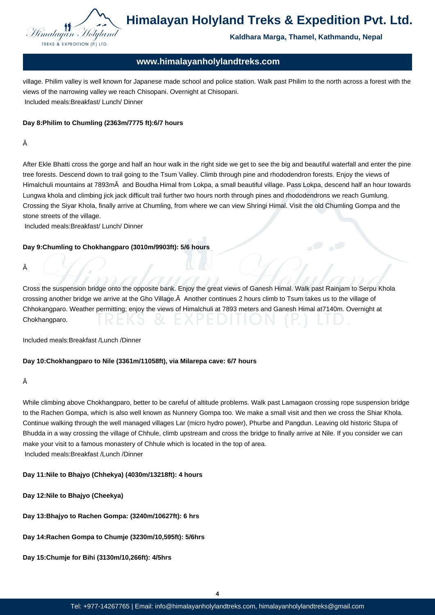

# **www.himalayanholylandtreks.com**

village. Philim valley is well known for Japanese made school and police station. Walk past Philim to the north across a forest with the views of the narrowing valley we reach Chisopani. Overnight at Chisopani. Included meals:Breakfast/ Lunch/ Dinner

# **Day 8:Philim to Chumling (2363m/7775 ft):6/7 hours**

# Â

After Ekle Bhatti cross the gorge and half an hour walk in the right side we get to see the big and beautiful waterfall and enter the pine tree forests. Descend down to trail going to the Tsum Valley. Climb through pine and rhododendron forests. Enjoy the views of Himalchuli mountains at 7893m and Boudha Himal from Lokpa, a small beautiful village. Pass Lokpa, descend half an hour towards Lungwa khola and climbing jick jack difficult trail further two hours north through pines and rhododendrons we reach Gumlung. Crossing the Siyar Khola, finally arrive at Chumling, from where we can view Shringi Himal. Visit the old Chumling Gompa and the stone streets of the village.

Included meals:Breakfast/ Lunch/ Dinner

## **Day 9:Chumling to Chokhangparo (3010m/9903ft): 5/6 hours**

Â

Cross the suspension bridge onto the opposite bank. Enjoy the great views of Ganesh Himal. Walk past Rainjam to Serpu Khola crossing another bridge we arrive at the Gho Village. Â Another continues 2 hours climb to Tsum takes us to the village of Chhokangparo. Weather permitting; enjoy the views of Himalchuli at 7893 meters and Ganesh Himal at7140m. Overnight at Chokhangparo.

Included meals:Breakfast /Lunch /Dinner

#### **Day 10:Chokhangparo to Nile (3361m/11058ft), via Milarepa cave: 6/7 hours**

#### Â

While climbing above Chokhangparo, better to be careful of altitude problems. Walk past Lamagaon crossing rope suspension bridge to the Rachen Gompa, which is also well known as Nunnery Gompa too. We make a small visit and then we cross the Shiar Khola. Continue walking through the well managed villages Lar (micro hydro power), Phurbe and Pangdun. Leaving old historic Stupa of Bhudda in a way crossing the village of Chhule, climb upstream and cross the bridge to finally arrive at Nile. If you consider we can make your visit to a famous monastery of Chhule which is located in the top of area. Included meals:Breakfast /Lunch /Dinner

# **Day 11:Nile to Bhajyo (Chhekya) (4030m/13218ft): 4 hours**

- **Day 12:Nile to Bhajyo (Cheekya)**
- **Day 13:Bhajyo to Rachen Gompa: (3240m/10627ft): 6 hrs**
- **Day 14:Rachen Gompa to Chumje (3230m/10,595ft): 5/6hrs**
- **Day 15:Chumje for Bihi (3130m/10,266ft): 4/5hrs**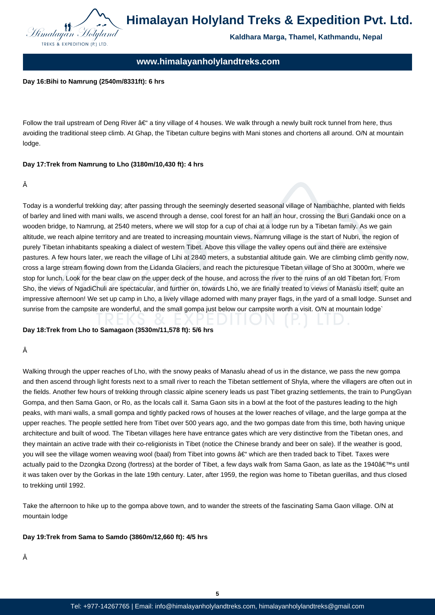

# **www.himalayanholylandtreks.com**

#### **Day 16:Bihi to Namrung (2540m/8331ft): 6 hrs**

Follow the trail upstream of Deng River â€" a tiny village of 4 houses. We walk through a newly built rock tunnel from here, thus avoiding the traditional steep climb. At Ghap, the Tibetan culture begins with Mani stones and chortens all around. O/N at mountain lodge.

## **Day 17:Trek from Namrung to Lho (3180m/10,430 ft): 4 hrs**

#### Â

Today is a wonderful trekking day; after passing through the seemingly deserted seasonal village of Nambachhe, planted with fields of barley and lined with mani walls, we ascend through a dense, cool forest for an half an hour, crossing the Buri Gandaki once on a wooden bridge, to Namrung, at 2540 meters, where we will stop for a cup of chai at a lodge run by a Tibetan family. As we gain altitude, we reach alpine territory and are treated to increasing mountain views. Namrung village is the start of Nubri, the region of purely Tibetan inhabitants speaking a dialect of western Tibet. Above this village the valley opens out and there are extensive pastures. A few hours later, we reach the village of Lihi at 2840 meters, a substantial altitude gain. We are climbing climb gently now, cross a large stream flowing down from the Lidanda Glaciers, and reach the picturesque Tibetan village of Sho at 3000m, where we stop for lunch. Look for the bear claw on the upper deck of the house, and across the river to the ruins of an old Tibetan fort. From Sho, the views of NgadiChuli are spectacular, and further on, towards Lho, we are finally treated to views of Manaslu itself; quite an impressive afternoon! We set up camp in Lho, a lively village adorned with many prayer flags, in the yard of a small lodge. Sunset and sunrise from the campsite are wonderful, and the small gompa just below our campsite worth a visit. O/N at mountain lodge`

#### **Day 18:Trek from Lho to Samagaon (3530m/11,578 ft): 5/6 hrs**

#### Â

Walking through the upper reaches of Lho, with the snowy peaks of Manaslu ahead of us in the distance, we pass the new gompa and then ascend through light forests next to a small river to reach the Tibetan settlement of Shyla, where the villagers are often out in the fields. Another few hours of trekking through classic alpine scenery leads us past Tibet grazing settlements, the train to PungGyan Gompa, and then Sama Gaon, or Ro, as the locals call it. Sama Gaon sits in a bowl at the foot of the pastures leading to the high peaks, with mani walls, a small gompa and tightly packed rows of houses at the lower reaches of village, and the large gompa at the upper reaches. The people settled here from Tibet over 500 years ago, and the two gompas date from this time, both having unique architecture and built of wood. The Tibetan villages here have entrance gates which are very distinctive from the Tibetan ones, and they maintain an active trade with their co-religionists in Tibet (notice the Chinese brandy and beer on sale). If the weather is good, you will see the village women weaving wool (baal) from Tibet into gowns  $a \in \mathcal{C}$  which are then traded back to Tibet. Taxes were actually paid to the Dzongka Dzong (fortress) at the border of Tibet, a few days walk from Sama Gaon, as late as the 1940's until it was taken over by the Gorkas in the late 19th century. Later, after 1959, the region was home to Tibetan guerillas, and thus closed to trekking until 1992.

Take the afternoon to hike up to the gompa above town, and to wander the streets of the fascinating Sama Gaon village. O/N at mountain lodge

#### **Day 19:Trek from Sama to Samdo (3860m/12,660 ft): 4/5 hrs**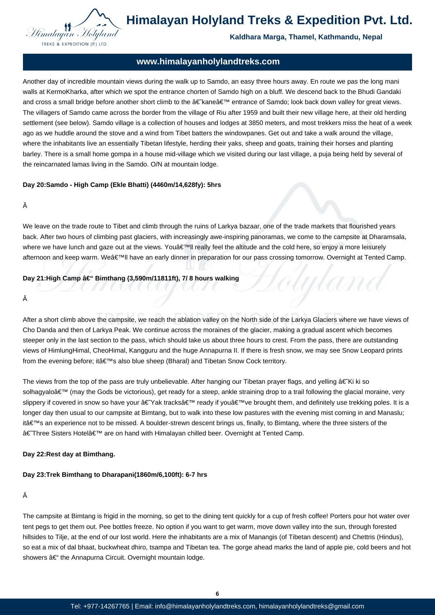

**Himalayan Holyland Treks & Expedition Pvt. Ltd.**

# **Kaldhara Marga, Thamel, Kathmandu, Nepal**

IAMA

# **www.himalayanholylandtreks.com**

Another day of incredible mountain views during the walk up to Samdo, an easy three hours away. En route we pas the long mani walls at KermoKharka, after which we spot the entrance chorten of Samdo high on a bluff. We descend back to the Bhudi Gandaki and cross a small bridge before another short climb to the †kane â€<sup>TM</sup> entrance of Samdo; look back down valley for great views. The villagers of Samdo came across the border from the village of Riu after 1959 and built their new village here, at their old herding settlement (see below). Samdo village is a collection of houses and lodges at 3850 meters, and most trekkers miss the heat of a week ago as we huddle around the stove and a wind from Tibet batters the windowpanes. Get out and take a walk around the village, where the inhabitants live an essentially Tibetan lifestyle, herding their yaks, sheep and goats, training their horses and planting barley. There is a small home gompa in a house mid-village which we visited during our last village, a puja being held by several of the reincarnated lamas living in the Samdo. O/N at mountain lodge.

#### **Day 20:Samdo - High Camp (Ekle Bhatti) (4460m/14,628fy): 5hrs**

#### Â

We leave on the trade route to Tibet and climb through the ruins of Larkya bazaar, one of the trade markets that flourished years back. After two hours of climbing past glaciers, with increasingly awe-inspiring panoramas, we come to the campsite at Dharamsala, where we have lunch and gaze out at the views. You a  $\epsilon$ <sup>TM</sup>II really feel the altitude and the cold here, so enjoy a more leisurely afternoon and keep warm. We'II have an early dinner in preparation for our pass crossing tomorrow. Overnight at Tented Camp.

#### Day 21:High Camp â€" Bimthang (3,590m/11811ft), 7/ 8 hours walking

#### Â

After a short climb above the campsite, we reach the ablation valley on the North side of the Larkya Glaciers where we have views of Cho Danda and then of Larkya Peak. We continue across the moraines of the glacier, making a gradual ascent which becomes steeper only in the last section to the pass, which should take us about three hours to crest. From the pass, there are outstanding views of HimlungHimal, CheoHimal, Kangguru and the huge Annapurna II. If there is fresh snow, we may see Snow Leopard prints from the evening before; it a  $\epsilon^{\text{TM}}$ s also blue sheep (Bharal) and Tibetan Snow Cock territory.

The views from the top of the pass are truly unbelievable. After hanging our Tibetan prayer flags, and yelling  $\hat{a} \in K$ i ki so solhagyalo' (may the Gods be victorious), get ready for a steep, ankle straining drop to a trail following the glacial moraine, very slippery if covered in snow so have your â€~Yak tracks' ready if you've brought them, and definitely use trekking poles. It is a longer day then usual to our campsite at Bimtang, but to walk into these low pastures with the evening mist coming in and Manaslu; it's an experience not to be missed. A boulder-strewn descent brings us, finally, to Bimtang, where the three sisters of the †Three Sisters Hotelâ€<sup>™</sup> are on hand with Himalayan chilled beer. Overnight at Tented Camp.

#### **Day 22:Rest day at Bimthang.**

#### **Day 23:Trek Bimthang to Dharapani(1860m/6,100ft): 6-7 hrs**

# Â

The campsite at Bimtang is frigid in the morning, so get to the dining tent quickly for a cup of fresh coffee! Porters pour hot water over tent pegs to get them out. Pee bottles freeze. No option if you want to get warm, move down valley into the sun, through forested hillsides to Tilje, at the end of our lost world. Here the inhabitants are a mix of Manangis (of Tibetan descent) and Chettris (Hindus), so eat a mix of dal bhaat, buckwheat dhiro, tsampa and Tibetan tea. The gorge ahead marks the land of apple pie, cold beers and hot showers – the Annapurna Circuit. Overnight mountain lodge.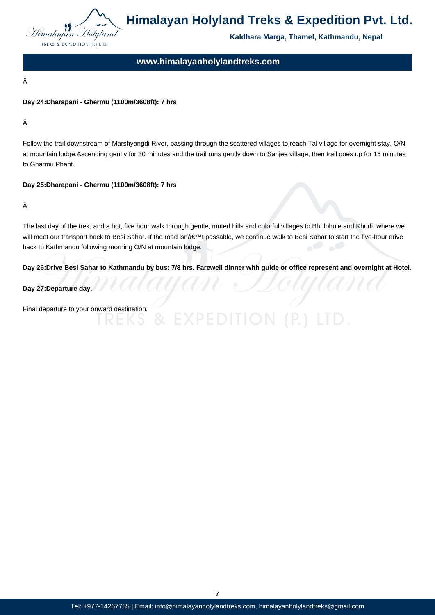

# **www.himalayanholylandtreks.com**

Â

# **Day 24:Dharapani - Ghermu (1100m/3608ft): 7 hrs**

Â

Follow the trail downstream of Marshyangdi River, passing through the scattered villages to reach Tal village for overnight stay. O/N at mountain lodge.Ascending gently for 30 minutes and the trail runs gently down to Sanjee village, then trail goes up for 15 minutes to Gharmu Phant.

## **Day 25:Dharapani - Ghermu (1100m/3608ft): 7 hrs**

Â

The last day of the trek, and a hot, five hour walk through gentle, muted hills and colorful villages to Bhulbhule and Khudi, where we will meet our transport back to Besi Sahar. If the road isn't passable, we continue walk to Besi Sahar to start the five-hour drive back to Kathmandu following morning O/N at mountain lodge.

**Day 26:Drive Besi Sahar to Kathmandu by bus: 7/8 hrs. Farewell dinner with guide or office represent and overnight at Hotel.**

**Day 27:Departure day.**

Final departure to your onward destination.

**7**